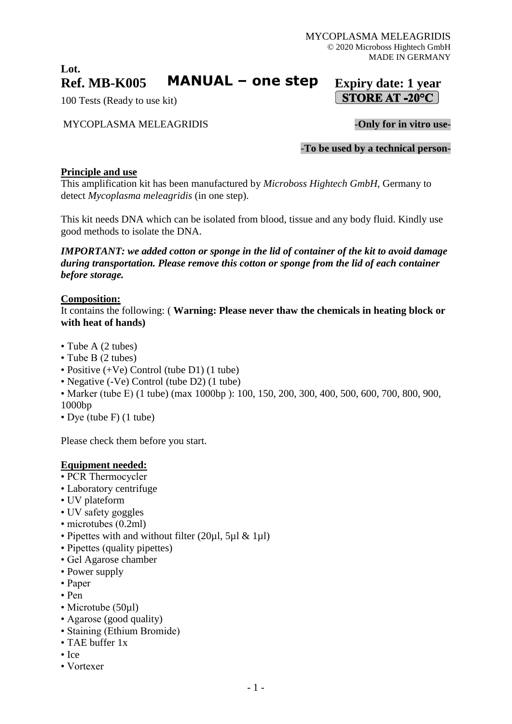$\vert$  STORE AT -20°C  $\vert$ 

# **Lot. Ref. MB-K005 MANUAL – one step** Expiry date: 1 year

100 Tests (Ready to use kit)

### MYCOPLASMA MELEAGRIDIS -**Only for in vitro use-**

-**To be used by a technical person-**

#### **Principle and use**

This amplification kit has been manufactured by *Microboss Hightech GmbH,* Germany to detect *Mycoplasma meleagridis* (in one step).

This kit needs DNA which can be isolated from blood, tissue and any body fluid. Kindly use good methods to isolate the DNA.

*IMPORTANT: we added cotton or sponge in the lid of container of the kit to avoid damage during transportation. Please remove this cotton or sponge from the lid of each container before storage.*

### **Composition:**

It contains the following: ( **Warning: Please never thaw the chemicals in heating block or with heat of hands)**

- Tube A (2 tubes)
- Tube B (2 tubes)
- Positive (+Ve) Control (tube D1) (1 tube)
- Negative (-Ve) Control (tube D2) (1 tube)
- Marker (tube E) (1 tube) (max 1000bp ): 100, 150, 200, 300, 400, 500, 600, 700, 800, 900, 1000bp
- Dye (tube F) (1 tube)

Please check them before you start.

### **Equipment needed:**

- PCR Thermocycler
- Laboratory centrifuge
- UV plateform
- UV safety goggles
- microtubes (0.2ml)
- Pipettes with and without filter (20µl, 5µl & 1µl)
- Pipettes (quality pipettes)
- Gel Agarose chamber
- Power supply
- Paper
- Pen
- Microtube (50ul)
- Agarose (good quality)
- Staining (Ethium Bromide)
- TAE buffer 1x
- Ice
- Vortexer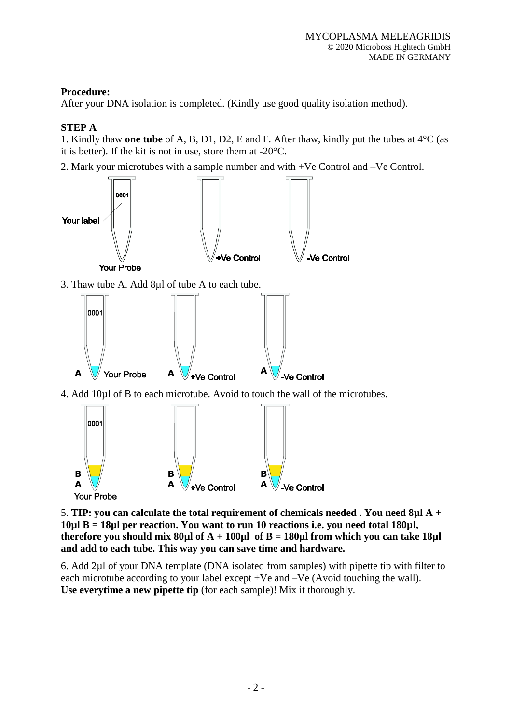## **Procedure:**

After your DNA isolation is completed. (Kindly use good quality isolation method).

## **STEP A**

1. Kindly thaw **one tube** of A, B, D1, D2, E and F. After thaw, kindly put the tubes at 4°C (as it is better). If the kit is not in use, store them at -20°C.

2. Mark your microtubes with a sample number and with +Ve Control and –Ve Control.



5. **TIP: you can calculate the total requirement of chemicals needed . You need 8µl A + 10µl B = 18µl per reaction. You want to run 10 reactions i.e. you need total 180µl, therefore you should mix 80µl of A + 100µl of B = 180µl from which you can take 18µl and add to each tube. This way you can save time and hardware.**

6. Add 2µl of your DNA template (DNA isolated from samples) with pipette tip with filter to each microtube according to your label except +Ve and –Ve (Avoid touching the wall). **Use everytime a new pipette tip** (for each sample)! Mix it thoroughly.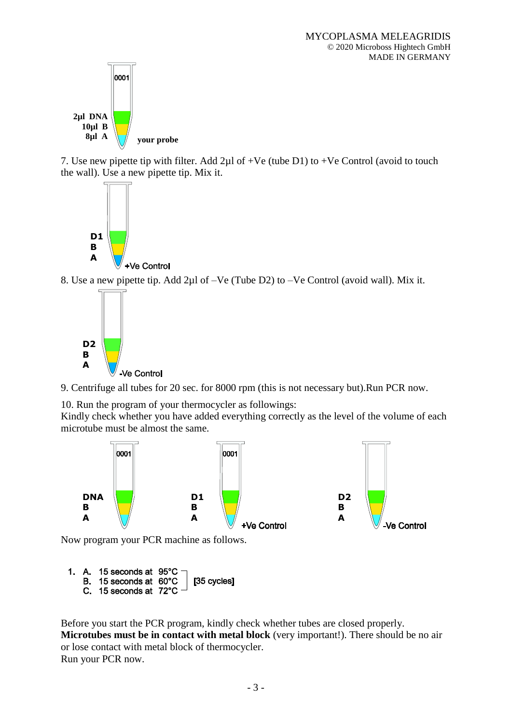

7. Use new pipette tip with filter. Add  $2\mu$ l of +Ve (tube D1) to +Ve Control (avoid to touch the wall). Use a new pipette tip. Mix it.



8. Use a new pipette tip. Add  $2\mu$ l of  $-Ve$  (Tube D2) to  $-Ve$  Control (avoid wall). Mix it.



9. Centrifuge all tubes for 20 sec. for 8000 rpm (this is not necessary but).Run PCR now.

10. Run the program of your thermocycler as followings:

Kindly check whether you have added everything correctly as the level of the volume of each microtube must be almost the same.



Now program your PCR machine as follows.

1. A. 15 seconds at 95°C [35 cycles] B. 15 seconds at 60°C C. 15 seconds at 72°C

Before you start the PCR program, kindly check whether tubes are closed properly. **Microtubes must be in contact with metal block** (very important!). There should be no air or lose contact with metal block of thermocycler. Run your PCR now.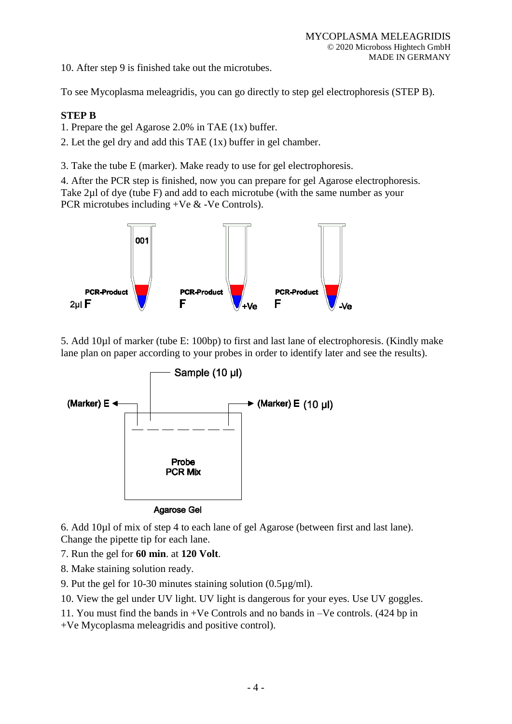10. After step 9 is finished take out the microtubes.

To see Mycoplasma meleagridis, you can go directly to step gel electrophoresis (STEP B).

## **STEP B**

- 1. Prepare the gel Agarose 2.0% in TAE (1x) buffer.
- 2. Let the gel dry and add this TAE (1x) buffer in gel chamber.

3. Take the tube E (marker). Make ready to use for gel electrophoresis.

4. After the PCR step is finished, now you can prepare for gel Agarose electrophoresis. Take 2µl of dye (tube F) and add to each microtube (with the same number as your PCR microtubes including +Ve & -Ve Controls).



5. Add 10µl of marker (tube E: 100bp) to first and last lane of electrophoresis. (Kindly make lane plan on paper according to your probes in order to identify later and see the results).



6. Add 10µl of mix of step 4 to each lane of gel Agarose (between first and last lane). Change the pipette tip for each lane.

- 7. Run the gel for **60 min**. at **120 Volt**.
- 8. Make staining solution ready.
- 9. Put the gel for 10-30 minutes staining solution (0.5µg/ml).

10. View the gel under UV light. UV light is dangerous for your eyes. Use UV goggles.

11. You must find the bands in +Ve Controls and no bands in –Ve controls. (424 bp in +Ve Mycoplasma meleagridis and positive control).